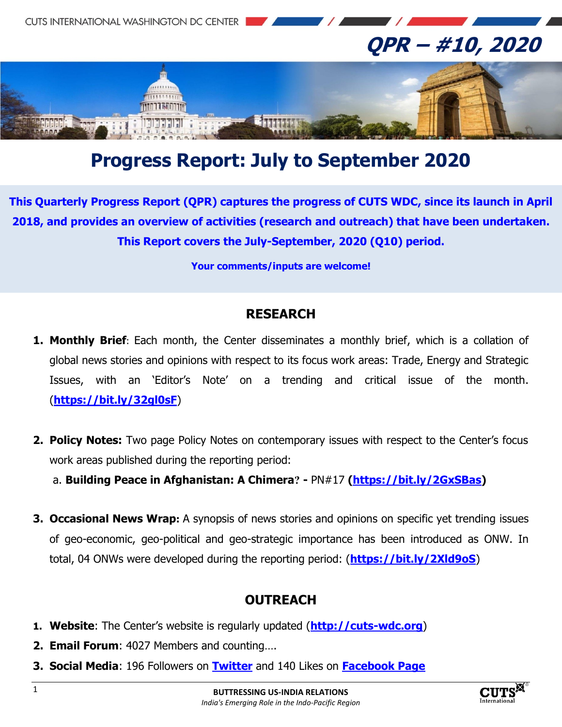

## **Progress Report: July to September 2020**

**This Quarterly Progress Report (QPR) captures the progress of CUTS WDC, since its launch in April 2018, and provides an overview of activities (research and outreach) that have been undertaken. This Report covers the July-September, 2020 (Q10) period.**

**Your comments/inputs are welcome!**

## **RESEARCH**

- **1. Monthly Brief**: Each month, the Center disseminates a monthly brief, which is a collation of global news stories and opinions with respect to its focus work areas: Trade, Energy and Strategic Issues, with an 'Editor's Note' on a trending and critical issue of the month. (**https://bit.ly/32gl0sF**)
- **2. Policy Notes:** Two page Policy Notes on contemporary issues with respect to the Center's focus work areas published during the reporting period:
	- a. **Building Peace in Afghanistan: A Chimera? -** PN#17 **(https://bit.ly/2GxSBas)**
- **3. Occasional News Wrap:** A synopsis of news stories and opinions on specific yet trending issues of geo-economic, geo-political and geo-strategic importance has been introduced as ONW. In total, 04 ONWs were developed during the reporting period: (**https://bit.ly/2Xld9oS**)

## **OUTREACH**

- **1. Website**: The Center's website is regularly updated (**http://cuts-wdc.org**)
- **2. Email Forum**: 4027 Members and counting….
- **3. Social Media**: 196 Followers on **Twitter** and 140 Likes on **Facebook Page**